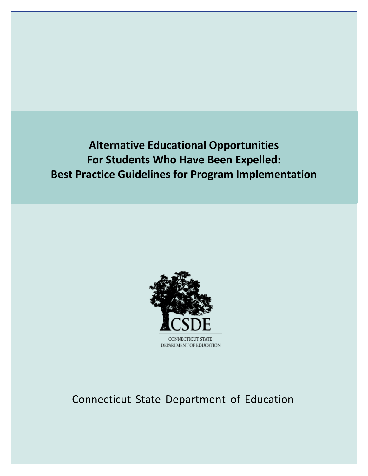**Alternative Educational Opportunities For Students Who Have Been Expelled: Best Practice Guidelines for Program Implementation**



Connecticut State Department of Education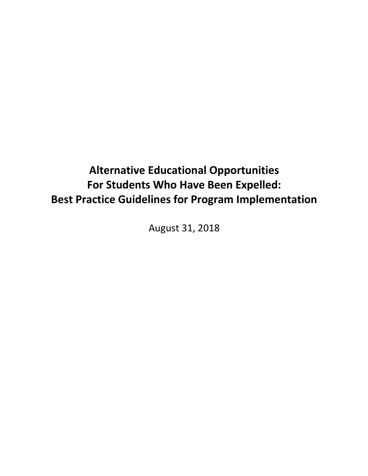# **Alternative Educational Opportunities For Students Who Have Been Expelled: Best Practice Guidelines for Program Implementation**

August 31, 2018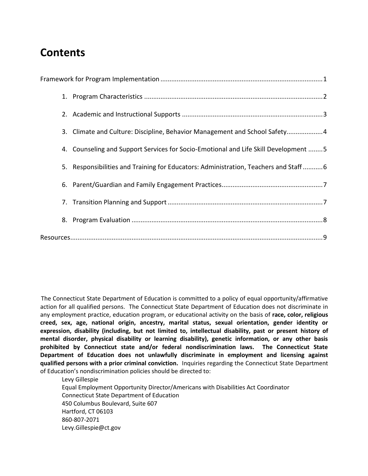## **Contents**

|  | 3. Climate and Culture: Discipline, Behavior Management and School Safety 4         |
|--|-------------------------------------------------------------------------------------|
|  | 4. Counseling and Support Services for Socio-Emotional and Life Skill Development 5 |
|  | 5. Responsibilities and Training for Educators: Administration, Teachers and Staff6 |
|  |                                                                                     |
|  |                                                                                     |
|  |                                                                                     |
|  |                                                                                     |

The Connecticut State Department of Education is committed to a policy of equal opportunity/affirmative action for all qualified persons. The Connecticut State Department of Education does not discriminate in any employment practice, education program, or educational activity on the basis of **race, color, religious creed, sex, age, national origin, ancestry, marital status, sexual orientation, gender identity or expression, disability (including, but not limited to, intellectual disability, past or present history of mental disorder, physical disability or learning disability), genetic information, or any other basis prohibited by Connecticut state and/or federal nondiscrimination laws. The Connecticut State Department of Education does not unlawfully discriminate in employment and licensing against qualified persons with a prior criminal conviction.** Inquiries regarding the Connecticut State Department of Education's nondiscrimination policies should be directed to:

Levy Gillespie Equal Employment Opportunity Director/Americans with Disabilities Act Coordinator Connecticut State Department of Education 450 Columbus Boulevard, Suite 607 Hartford, CT 06103 860-807-2071 Levy.Gillespie@ct.gov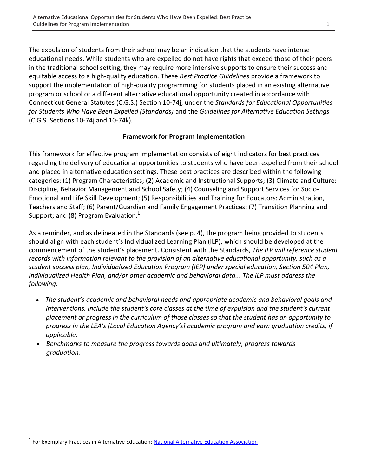The expulsion of students from their school may be an indication that the students have intense educational needs. While students who are expelled do not have rights that exceed those of their peers in the traditional school setting, they may require more intensive supports to ensure their success and equitable access to a high-quality education. These *Best Practice Guidelines* provide a framework to support the implementation of high-quality programming for students placed in an existing alternative program or school or a different alternative educational opportunity created in accordance with Connecticut General Statutes (C.G.S.) Section 10-74j, under the *Standards for Educational Opportunities for Students Who Have Been Expelled (Standards)* and the *Guidelines for Alternative Education Settings* (C.G.S. Sections 10-74j and 10-74k)*.*

#### **Framework for Program Implementation**

This framework for effective program implementation consists of eight indicators for best practices regarding the delivery of educational opportunities to students who have been expelled from their school and placed in alternative education settings. These best practices are described within the following categories: (1) Program Characteristics; (2) Academic and Instructional Supports; (3) Climate and Culture: Discipline, Behavior Management and School Safety; (4) Counseling and Support Services for Socio-Emotional and Life Skill Development; (5) Responsibilities and Training for Educators: Administration, Teachers and Staff; (6) Parent/Guardian and Family Engagement Practices; (7) Transition Planning and Support; and (8) Program Evaluation.**<sup>1</sup>**

As a reminder, and as delineated in the Standards (see p. 4), the program being provided to students should align with each student's Individualized Learning Plan (ILP), which should be developed at the commencement of the student's placement. Consistent with the Standards, *The ILP will reference student records with information relevant to the provision of an alternative educational opportunity, such as a student success plan, Individualized Education Program (IEP) under special education, Section 504 Plan, Individualized Health Plan, and/or other academic and behavioral data... The ILP must address the following:*

- *The student's academic and behavioral needs and appropriate academic and behavioral goals and interventions. Include the student's core classes at the time of expulsion and the student's current placement or progress in the curriculum of those classes so that the student has an opportunity to progress in the LEA's [Local Education Agency's] academic program and earn graduation credits, if applicable.*
- *Benchmarks to measure the progress towards goals and ultimately, progress towards graduation.*

l

**<sup>1</sup>** For Exemplary Practices in Alternative Education: [National Alternative Education Association](http://the-naea.org/exemplary-practices-in-alternative-education/)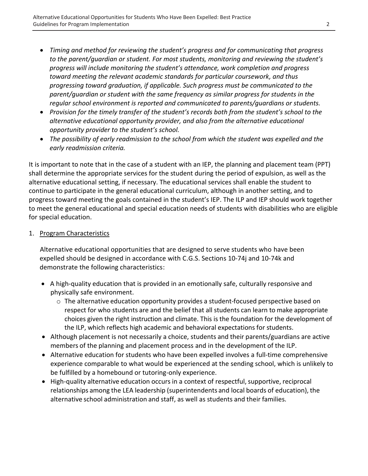- *Timing and method for reviewing the student's progress and for communicating that progress to the parent/guardian or student. For most students, monitoring and reviewing the student's progress will include monitoring the student's attendance, work completion and progress toward meeting the relevant academic standards for particular coursework, and thus progressing toward graduation, if applicable. Such progress must be communicated to the parent/guardian or student with the same frequency as similar progress for students in the regular school environment is reported and communicated to parents/guardians or students.*
- *Provision for the timely transfer of the student's records both from the student's school to the alternative educational opportunity provider, and also from the alternative educational opportunity provider to the student's school.*
- *The possibility of early readmission to the school from which the student was expelled and the early readmission criteria.*

It is important to note that in the case of a student with an IEP, the planning and placement team (PPT) shall determine the appropriate services for the student during the period of expulsion, as well as the alternative educational setting, if necessary. The educational services shall enable the student to continue to participate in the general educational curriculum, although in another setting, and to progress toward meeting the goals contained in the student's IEP. The ILP and IEP should work together to meet the general educational and special education needs of students with disabilities who are eligible for special education.

#### 1. Program Characteristics

Alternative educational opportunities that are designed to serve students who have been expelled should be designed in accordance with C.G.S. Sections 10-74j and 10-74k and demonstrate the following characteristics:

- A high-quality education that is provided in an emotionally safe, culturally responsive and physically safe environment.
	- $\circ$  The alternative education opportunity provides a student-focused perspective based on respect for who students are and the belief that all students can learn to make appropriate choices given the right instruction and climate. This is the foundation for the development of the ILP, which reflects high academic and behavioral expectations for students.
- Although placement is not necessarily a choice, students and their parents/guardians are active members of the planning and placement process and in the development of the ILP.
- Alternative education for students who have been expelled involves a full-time comprehensive experience comparable to what would be experienced at the sending school, which is unlikely to be fulfilled by a homebound or tutoring-only experience.
- High-quality alternative education occurs in a context of respectful, supportive, reciprocal relationships among the LEA leadership (superintendents and local boards of education), the alternative school administration and staff, as well as students and their families.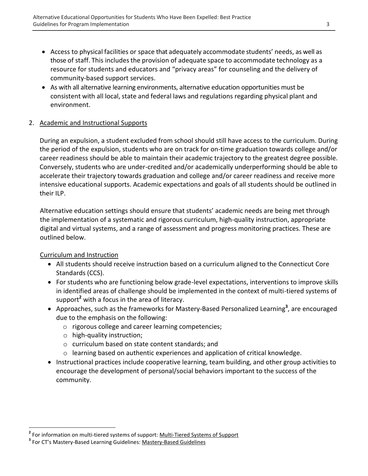- Access to physical facilities or space that adequately accommodate students' needs, as well as those of staff. This includes the provision of adequate space to accommodate technology as a resource for students and educators and "privacy areas" for counseling and the delivery of community-based support services.
- As with all alternative learning environments, alternative education opportunities must be consistent with all local, state and federal laws and regulations regarding physical plant and environment.

#### 2. Academic and Instructional Supports

During an expulsion, a student excluded from school should still have access to the curriculum. During the period of the expulsion, students who are on track for on-time graduation towards college and/or career readiness should be able to maintain their academic trajectory to the greatest degree possible. Conversely, students who are under-credited and/or academically underperforming should be able to accelerate their trajectory towards graduation and college and/or career readiness and receive more intensive educational supports. Academic expectations and goals of all students should be outlined in their ILP.

Alternative education settings should ensure that students' academic needs are being met through the implementation of a systematic and rigorous curriculum, high-quality instruction, appropriate digital and virtual systems, and a range of assessment and progress monitoring practices. These are outlined below.

## Curriculum and Instruction

- All students should receive instruction based on a curriculum aligned to the Connecticut Core Standards (CCS).
- For students who are functioning below grade-level expectations, interventions to improve skills in identified areas of challenge should be implemented in the context of multi-tiered systems of support**<sup>2</sup>** with a focus in the area of literacy.
- Approaches, such as the frameworks for Mastery-Based Personalized Learning**<sup>3</sup>** , are encouraged due to the emphasis on the following:
	- o rigorous college and career learning competencies;
	- o high-quality instruction;
	- o curriculum based on state content standards; and
	- $\circ$  learning based on authentic experiences and application of critical knowledge.
- Instructional practices include cooperative learning, team building, and other group activities to encourage the development of personal/social behaviors important to the success of the community.

 **2** For information on multi-tiered systems of support[: Multi-Tiered Systems of Support](https://link.springer.com/article/10.1007%2Fs12310-014-9139-3)

**<sup>3</sup>** For CT's Mastery-Based Learning Guidelines: [Mastery-Based Guidelines](https://portal.ct.gov/SDE/Mastery-Based-Learning/Guidelines-for-Implementation-Mastery-Based-Learning)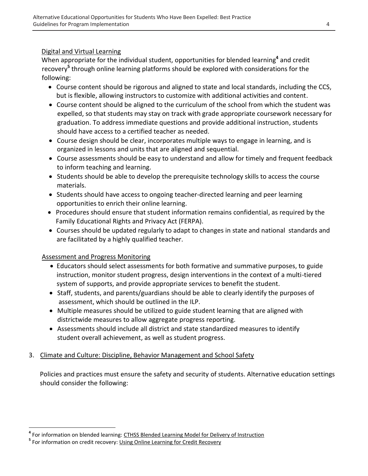#### Digital and Virtual Learning

When appropriate for the individual student, opportunities for blended learning<sup>4</sup> and credit recovery**<sup>5</sup>** through online learning platforms should be explored with considerations for the following:

- Course content should be rigorous and aligned to state and local standards, including the CCS, but is flexible, allowing instructors to customize with additional activities and content.
- Course content should be aligned to the curriculum of the school from which the student was expelled, so that students may stay on track with grade appropriate coursework necessary for graduation. To address immediate questions and provide additional instruction, students should have access to a certified teacher as needed.
- Course design should be clear, incorporates multiple ways to engage in learning, and is organized in lessons and units that are aligned and sequential.
- Course assessments should be easy to understand and allow for timely and frequent feedback to inform teaching and learning.
- Students should be able to develop the prerequisite technology skills to access the course materials.
- Students should have access to ongoing teacher-directed learning and peer learning opportunities to enrich their online learning.
- Procedures should ensure that student information remains confidential, as required by the Family Educational Rights and Privacy Act (FERPA).
- Courses should be updated regularly to adapt to changes in state and national standards and are facilitated by a highly qualified teacher.

## Assessment and Progress Monitoring

- Educators should select assessments for both formative and summative purposes, to guide instruction, monitor student progress, design interventions in the context of a multi-tiered system of supports, and provide appropriate services to benefit the student.
- Staff, students, and parents/guardians should be able to clearly identify the purposes of assessment, which should be outlined in the ILP.
- Multiple measures should be utilized to guide student learning that are aligned with districtwide measures to allow aggregate progress reporting.
- Assessments should include all district and state standardized measures to identify student overall achievement, as well as student progress.

## 3. Climate and Culture: Discipline, Behavior Management and School Safety

Policies and practices must ensure the safety and security of students. Alternative education settings should consider the following:

**<sup>4</sup>**<br><sup>4</sup> For information on blended learning: <u>[CTHSS Blended Learning Model for Delivery of Instruction](https://www.cttech.org/assets/uploads/files/About/Superintendent/Blended-Learning.pdf)</u> **5** For information on credit recovery: [Using Online Learning for Credit Recovery](https://www.flvs.net/docs/default-source/research/inacol-using-online-learning-for-credit-recovery-9-2015.pdf?sfvrsn=0)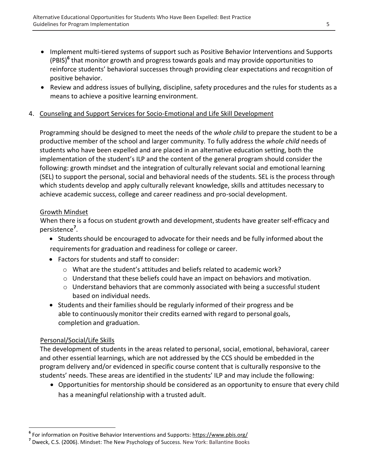- Implement multi-tiered systems of support such as Positive Behavior Interventions and Supports (PBIS)**<sup>6</sup>** that monitor growth and progress towards goals and may provide opportunities to reinforce students' behavioral successes through providing clear expectations and recognition of positive behavior.
- Review and address issues of bullying, discipline, safety procedures and the rules for students as a means to achieve a positive learning environment.

#### 4. Counseling and Support Services for Socio-Emotional and Life Skill Development

Programming should be designed to meet the needs of the *whole child* to prepare the student to be a productive member of the school and larger community*.* To fully address the *whole child* needs of students who have been expelled and are placed in an alternative education setting, both the implementation of the student's ILP and the content of the general program should consider the following: growth mindset and the integration of culturally relevant social and emotional learning (SEL) to support the personal, social and behavioral needs of the students. SEL is the process through which students develop and apply culturally relevant knowledge, skills and attitudes necessary to achieve academic success, college and career readiness and pro-social development.

#### Growth Mindset

When there is a focus on student growth and development, students have greater self-efficacy and persistence**<sup>7</sup>** .

- Students should be encouraged to advocate for their needs and be fully informed about the requirements for graduation and readiness for college or career.
- Factors for students and staff to consider:
	- $\circ$  What are the student's attitudes and beliefs related to academic work?
	- o Understand that these beliefs could have an impact on behaviors and motivation.
	- o Understand behaviors that are commonly associated with being a successful student based on individual needs.
- Students and their families should be regularly informed of their progress and be able to continuously monitor their credits earned with regard to personal goals, completion and graduation.

#### Personal/Social/Life Skills

l

The development of students in the areas related to personal, social, emotional, behavioral, career and other essential learnings, which are not addressed by the CCS should be embedded in the program delivery and/or evidenced in specific course content that is culturally responsive to the students' needs. These areas are identified in the students' ILP and may include the following:

 Opportunities for mentorship should be considered as an opportunity to ensure that every child has a meaningful relationship with a trusted adult.

**<sup>6</sup>** For information on Positive Behavior Interventions and Supports:<https://www.pbis.org/>

**<sup>7</sup>** Dweck, C.S. (2006). Mindset: The New Psychology of Success. New York: Ballantine Books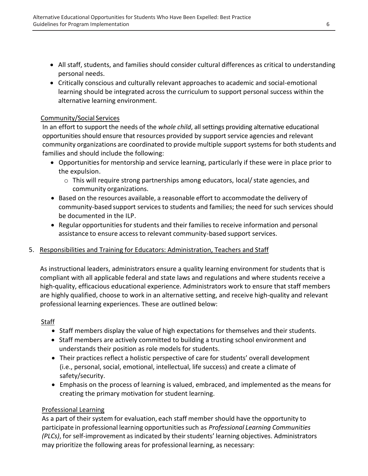- All staff, students, and families should consider cultural differences as critical to understanding personal needs.
- Critically conscious and culturally relevant approaches to academic and social-emotional learning should be integrated across the curriculum to support personal success within the alternative learning environment.

## Community/Social Services

In an effort to support the needs of the *whole child*, all settings providing alternative educational opportunities should ensure that resources provided by support service agencies and relevant community organizations are coordinated to provide multiple support systems for both students and families and should include the following:

- Opportunitiesfor mentorship and service learning, particularly if these were in place prior to the expulsion.
	- $\circ$  This will require strong partnerships among educators, local/state agencies, and community organizations.
- Based on the resources available, a reasonable effort to accommodate the delivery of community-based support services to students and families; the need for such services should be documented in the ILP.
- Regular opportunities for students and their families to receive information and personal assistance to ensure access to relevant community-based support services.

## 5. Responsibilities and Training for Educators: Administration, Teachers and Staff

As instructional leaders, administrators ensure a quality learning environment for students that is compliant with all applicable federal and state laws and regulations and where students receive a high-quality, efficacious educational experience. Administrators work to ensure that staff members are highly qualified, choose to work in an alternative setting, and receive high-quality and relevant professional learning experiences. These are outlined below:

## Staff

- Staff members display the value of high expectations for themselves and their students.
- Staff members are actively committed to building a trusting school environment and understands their position as role models for students.
- Their practices reflect a holistic perspective of care for students' overall development (i.e., personal, social, emotional, intellectual, life success) and create a climate of safety/security.
- Emphasis on the process of learning is valued, embraced, and implemented as the means for creating the primary motivation for student learning.

## Professional Learning

As a part of their system for evaluation, each staff member should have the opportunity to participate in professional learning opportunitiessuch as *Professional Learning Communities (PLCs)*, for self-improvement as indicated by their students' learning objectives. Administrators may prioritize the following areas for professional learning, as necessary: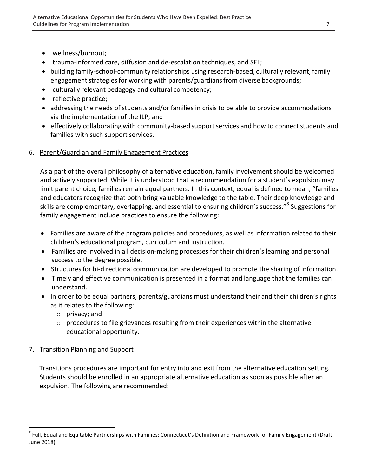- wellness/burnout;
- trauma-informed care, diffusion and de-escalation techniques, and SEL;
- building family-school-community relationships using research-based, culturally relevant, family engagement strategies for working with parents/guardians from diverse backgrounds;
- culturally relevant pedagogy and cultural competency;
- reflective practice;
- addressing the needs of students and/or families in crisis to be able to provide accommodations via the implementation of the ILP; and
- effectively collaborating with community-based support services and how to connect students and families with such support services.

## 6. Parent/Guardian and Family Engagement Practices

As a part of the overall philosophy of alternative education, family involvement should be welcomed and actively supported. While it is understood that a recommendation for a student's expulsion may limit parent choice, families remain equal partners. In this context, equal is defined to mean, "families and educators recognize that both bring valuable knowledge to the table. Their deep knowledge and skills are complementary, overlapping, and essential to ensuring children's success."<sup>8</sup> Suggestions for family engagement include practices to ensure the following:

- Families are aware of the program policies and procedures, as well as information related to their children's educational program, curriculum and instruction.
- Families are involved in all decision-making processes for their children's learning and personal success to the degree possible.
- Structuresfor bi-directional communication are developed to promote the sharing of information.
- Timely and effective communication is presented in a format and language that the families can understand.
- In order to be equal partners, parents/guardians must understand their and their children's rights as it relates to the following:
	- o privacy; and
	- $\circ$  procedures to file grievances resulting from their experiences within the alternative educational opportunity.

## 7. Transition Planning and Support

l

Transitions procedures are important for entry into and exit from the alternative education setting. Students should be enrolled in an appropriate alternative education as soon as possible after an expulsion. The following are recommended:

<sup>&</sup>lt;sup>8</sup> Full, Equal and Equitable Partnerships with Families: Connecticut's Definition and Framework for Family Engagement (Draft June 2018)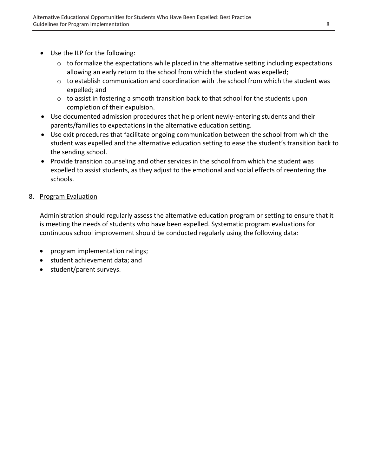- Use the ILP for the following:
	- $\circ$  to formalize the expectations while placed in the alternative setting including expectations allowing an early return to the school from which the student was expelled;
	- $\circ$  to establish communication and coordination with the school from which the student was expelled; and
	- o to assist in fostering a smooth transition back to that school for the students upon completion of their expulsion.
- Use documented admission procedures that help orient newly-entering students and their parents/families to expectations in the alternative education setting.
- Use exit procedures that facilitate ongoing communication between the school from which the student was expelled and the alternative education setting to ease the student's transition back to the sending school.
- Provide transition counseling and other services in the school from which the student was expelled to assist students, as they adjust to the emotional and social effects of reentering the schools.

## 8. Program Evaluation

Administration should regularly assess the alternative education program or setting to ensure that it is meeting the needs of students who have been expelled. Systematic program evaluations for continuous school improvement should be conducted regularly using the following data:

- program implementation ratings;
- student achievement data; and
- student/parent surveys.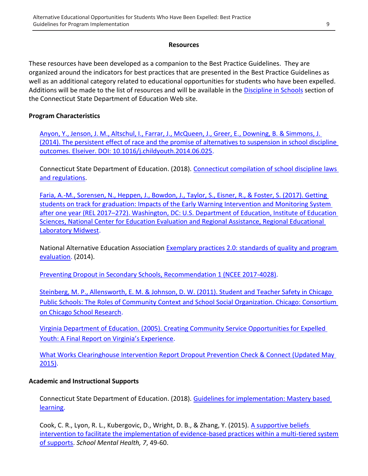#### **Resources**

These resources have been developed as a companion to the Best Practice Guidelines. They are organized around the indicators for best practices that are presented in the Best Practice Guidelines as well as an additional category related to educational opportunities for students who have been expelled. Additions will be made to the list of resources and will be available in the [Discipline in Schools](https://portal.ct.gov/SDE/Rethinking-Discipline-in-Connecticut) section of the Connecticut State Department of Education Web site.

#### **Program Characteristics**

[Anyon, Y., Jenson, J. M., Altschul, I., Farrar, J., McQueen, J., Greer, E., Downing, B. & Simmons, J.](https://ac.els-cdn.com/S0190740914002485/1-s2.0-S0190740914002485-main.pdf?_tid=000d741b-7a87-48f4-97da-540a7e15a873&acdnat=1534530485_728dc278040a1077e73da5edf44854c4)  [\(2014\). The persistent effect of race and the promise of alternatives to suspension in school discipline](https://ac.els-cdn.com/S0190740914002485/1-s2.0-S0190740914002485-main.pdf?_tid=000d741b-7a87-48f4-97da-540a7e15a873&acdnat=1534530485_728dc278040a1077e73da5edf44854c4)  [outcomes. Elseiver. DOI: 10.1016/j.childyouth.2014.06.025.](https://ac.els-cdn.com/S0190740914002485/1-s2.0-S0190740914002485-main.pdf?_tid=000d741b-7a87-48f4-97da-540a7e15a873&acdnat=1534530485_728dc278040a1077e73da5edf44854c4)

Connecticut State Department of Education. (2018). [Connecticut compilation of school discipline laws](https://safesupportivelearning.ed.gov/sites/default/files/discipline-compendium/Connecticut%20School%20Discipline%20Laws%20and%20Regulations.pdf)  [and regulations.](https://safesupportivelearning.ed.gov/sites/default/files/discipline-compendium/Connecticut%20School%20Discipline%20Laws%20and%20Regulations.pdf)

[Faria, A.-M., Sorensen, N., Heppen, J., Bowdon, J., Taylor, S., Eisner, R., & Foster, S. \(2017\). Getting](https://ies.ed.gov/ncee/edlabs/regions/midwest/pdf/REL_2017272.pdf)  [students on track for graduation: Impacts of the Early Warning Intervention and Monitoring System](https://ies.ed.gov/ncee/edlabs/regions/midwest/pdf/REL_2017272.pdf)  after one year (REL 2017–[272\). Washington, DC: U.S. Department of Education, Institute of Education](https://ies.ed.gov/ncee/edlabs/regions/midwest/pdf/REL_2017272.pdf)  [Sciences, National Center for Education Evaluation and Regional Assistance, Regional Educational](https://ies.ed.gov/ncee/edlabs/regions/midwest/pdf/REL_2017272.pdf)  [Laboratory Midwest.](https://ies.ed.gov/ncee/edlabs/regions/midwest/pdf/REL_2017272.pdf)

National Alternative Education Association [Exemplary practices 2.0: standards of quality and program](http://the-naea.org/exemplary-practices-in-alternative-education/)  [evaluation.](http://the-naea.org/exemplary-practices-in-alternative-education/) (2014).

[Preventing Dropout in Secondary Schools, Recommendation 1 \(NCEE 2017-4028\).](https://ies.ed.gov/ncee/wwc/Docs/PracticeGuide/wwc_dropout_092617.pdf)

[Steinberg, M. P., Allensworth, E. M. & Johnson, D. W. \(2011\). Student and Teacher Safety in Chicago](https://consortium.uchicago.edu/downloads/8499safety_in_cps.pdf)  [Public Schools: The Roles of Community Context and School Social Organization. Chicago: Consortium](https://consortium.uchicago.edu/downloads/8499safety_in_cps.pdf)  [on Chicago School Research.](https://consortium.uchicago.edu/downloads/8499safety_in_cps.pdf)

Virginia Department of Education. (2005). [Creating Community Service Opportunities for Expelled](http://www.doe.virginia.gov/federal_programs/safe_drug-free/publications/community_service_suspended_expelled.pdf)  [Youth: A Final Report on Virginia's Experience](http://www.doe.virginia.gov/federal_programs/safe_drug-free/publications/community_service_suspended_expelled.pdf).

[What Works Clearinghouse Intervention Report Dropout Prevention Check & Connect \(Updated May](https://ies.ed.gov/ncee/wwc/Docs/InterventionReports/wwc_checkconnect_050515.pdf)  [2015\).](https://ies.ed.gov/ncee/wwc/Docs/InterventionReports/wwc_checkconnect_050515.pdf)

#### **Academic and Instructional Supports**

Connecticut State Department of Education. (2018). [Guidelines for implementation: Mastery based](https://portal.ct.gov/SDE/Mastery-Based-Learning/Guidelines-for-Implementation-Mastery-Based-Learning)  [learning.](https://portal.ct.gov/SDE/Mastery-Based-Learning/Guidelines-for-Implementation-Mastery-Based-Learning)

Cook, C. R., Lyon, R. L., Kubergovic, D., Wright, D. B., & Zhang, Y. (2015). [A supportive beliefs](https://link.springer.com/article/10.1007%2Fs12310-014-9139-3)  [intervention to facilitate the implementation of evidence-based practices within a multi-tiered system](https://link.springer.com/article/10.1007%2Fs12310-014-9139-3)  [of supports.](https://link.springer.com/article/10.1007%2Fs12310-014-9139-3) *School Mental Health, 7*, 49-60.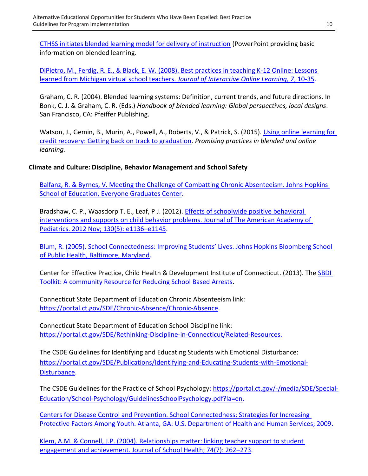[CTHSS initiates blended learning model for delivery of instruction](https://www.cttech.org/assets/uploads/files/About/Superintendent/Blended-Learning.pdf) (PowerPoint providing basic information on blended learning.

[DiPietro, M., Ferdig, R. E., & Black, E. W. \(2008\). Best practices in teaching K-12 Online: Lessons](https://www.ncolr.org/jiol/issues/pdf/7.1.2.pdf)  [learned from Michigan virtual school teachers.](https://www.ncolr.org/jiol/issues/pdf/7.1.2.pdf) *Journal of Interactive Online Learning, 7*, 10-35.

Graham, C. R. (2004). Blended learning systems: Definition, current trends, and future directions. In Bonk, C. J. & Graham, C. R. (Eds.) *Handbook of blended learning: Global perspectives, local designs*. San Francisco, CA: Pfeiffer Publishing.

Watson, J., Gemin, B., Murin, A., Powell, A., Roberts, V., & Patrick, S. (2015). Using online learning for [credit recovery: Getting back on track to graduation.](https://www.flvs.net/docs/default-source/research/inacol-using-online-learning-for-credit-recovery-9-2015.pdf?sfvrsn=0) *Promising practices in blended and online learning.*

## **Climate and Culture: Discipline, Behavior Management and School Safety**

[Balfanz, R. & Byrnes, V. Meeting the Challenge of Combatting Chronic Absenteeism. Johns Hopkins](https://files.eric.ed.gov/fulltext/ED544570.pdf)  School of [Education, Everyone Graduates Center.](https://files.eric.ed.gov/fulltext/ED544570.pdf)

Bradshaw, C. P., Waasdorp T. E., Leaf, P J. (2012). *Effects of schoolwide positive behavioral* [interventions and supports on child behavior problems. Journal of The American Academy of](https://static1.squarespace.com/static/518bb7cde4b0d1e7bd9c37b5/t/51a2d69fe4b040633930bfa0/1369626271942/Effects+of+school-wide+Positive+Behavioral+Interventions+and+Supports+on+Child+Behavior+Problems.pdf)  [Pediatrics. 2012 Nov; 130\(5\): e1136](https://static1.squarespace.com/static/518bb7cde4b0d1e7bd9c37b5/t/51a2d69fe4b040633930bfa0/1369626271942/Effects+of+school-wide+Positive+Behavioral+Interventions+and+Supports+on+Child+Behavior+Problems.pdf)–e1145.

[Blum, R. \(2005\). School Connectedness: Improving Students' Lives. Johns Hopkins Bloomberg School](https://www.casciac.org/pdfs/SchoolConnectedness.pdf)  [of Public Health, Baltimore, Maryland.](https://www.casciac.org/pdfs/SchoolConnectedness.pdf)

Center for Effective Practice, Child Health & Development Institute of Connecticut. (2013). The SBDI [Toolkit: A community Resource for Reducing School Based Arrests.](https://www.chdi.org/index.php/news/news-events/sbdi-toolkit-community-resource-reducing-school-based-arrests)

Connecticut State Department of Education Chronic Absenteeism link: [https://portal.ct.gov/SDE/Chronic-Absence/Chronic-Absence.](https://portal.ct.gov/SDE/Chronic-Absence/Chronic-Absence)

Connecticut State Department of Education School Discipline link: [https://portal.ct.gov/SDE/Rethinking-Discipline-in-Connecticut/Related-Resources.](https://portal.ct.gov/SDE/Rethinking-Discipline-in-Connecticut/Related-Resources)

The CSDE Guidelines for Identifying and Educating Students with Emotional Disturbance: [https://portal.ct.gov/SDE/Publications/Identifying-and-Educating-Students-with-Emotional-](https://portal.ct.gov/SDE/Publications/Identifying-and-Educating-Students-with-Emotional-Disturbance)[Disturbance.](https://portal.ct.gov/SDE/Publications/Identifying-and-Educating-Students-with-Emotional-Disturbance)

The CSDE Guidelines for the Practice of School Psychology: [https://portal.ct.gov/-/media/SDE/Special-](https://portal.ct.gov/-/media/SDE/Special-Education/School-Psychology/GuidelinesSchoolPsychology.pdf?la=en)[Education/School-Psychology/GuidelinesSchoolPsychology.pdf?la=en.](https://portal.ct.gov/-/media/SDE/Special-Education/School-Psychology/GuidelinesSchoolPsychology.pdf?la=en)

[Centers for Disease Control and Prevention. School Connectedness: Strategies for Increasing](https://www.cdc.gov/healthyyouth/protective/pdf/connectedness.pdf)  [Protective Factors Among Youth. Atlanta, GA: U.S. Department of Health and Human Services; 2009.](https://www.cdc.gov/healthyyouth/protective/pdf/connectedness.pdf)

[Klem, A.M. & Connell, J.P. \(2004\). Relationships matter: linking teacher support to student](https://pdfs.semanticscholar.org/62ba/e2c89bc37bcdd165c60beb721c95a8771527.pdf)  [engagement and achievement. Journal of School Health; 74\(7\): 262](https://pdfs.semanticscholar.org/62ba/e2c89bc37bcdd165c60beb721c95a8771527.pdf)–273.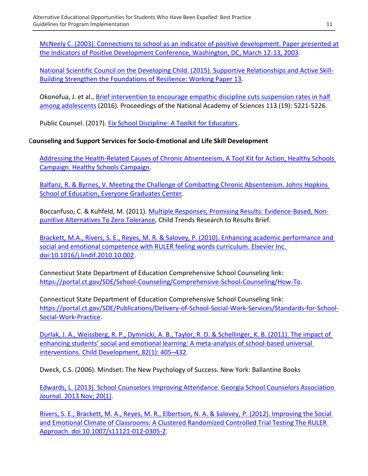[McNeely C. \(2003\). Connections to school as an indicator of positive development. Paper presented at](https://www.childtrends.org/wp-content/uploads/2013/05/Child_Trends-2003_03_12_PD_PDConfMcNeely.pdf)  [the Indicators of Positive Development Conference, Washington, DC, March 12-13, 2003](https://www.childtrends.org/wp-content/uploads/2013/05/Child_Trends-2003_03_12_PD_PDConfMcNeely.pdf)*.*

[National Scientific Council on the Developing Child. \(2015\). Supportive Relationships and Active Skill-](https://developingchild.harvard.edu/resources/supportive-relationships-and-active-skill-building-strengthen-the-foundations-of-resilience/)[Building Strengthen the Foundations of Resilience: Working Paper 13.](https://developingchild.harvard.edu/resources/supportive-relationships-and-active-skill-building-strengthen-the-foundations-of-resilience/)

Okonofua, J. et al., [Brief intervention to encourage empathic discipline cuts suspension rates in half](http://www.pnas.org/content/113/19/5221)  [among adolescents](http://www.pnas.org/content/113/19/5221) (2016). Proceedings of the National Academy of Sciences 113 (19): 5221-5226.

Public Counsel. (2017). [Fix School Discipline: A Toolkit for Educators.](http://www.fixschooldiscipline.org/educator-toolkit/)

## C**ounseling and Support Services for Socio-Emotional and Life Skill Development**

[Addressing the Health-Related Causes of Chronic Absenteeism, A Tool Kit for Action, Healthy Schools](https://healthyschoolscampaign.org/wp-content/uploads/2015/06/Overview-Addressing_Health-Related_Chronic_Absenteeism_Toolkit_for_Action.pdf)  [Campaign. Healthy Schools Campaign.](https://healthyschoolscampaign.org/wp-content/uploads/2015/06/Overview-Addressing_Health-Related_Chronic_Absenteeism_Toolkit_for_Action.pdf)

[Balfanz, R. & Byrnes, V. Meeting the Challenge of Combatting Chronic Absenteeism. Johns Hopkins](https://files.eric.ed.gov/fulltext/ED544570.pdf)  [School of Education, Everyone Graduates Center.](https://files.eric.ed.gov/fulltext/ED544570.pdf)

Boccanfuso, C. & Kuhfeld, M. (2011). [Multiple Responses, Promising Results: Evidence-Based, Non](https://www.childtrends.org/wp-content/uploads/2011/03/Child_Trends-2011_03_01_RB_AltToZeroTolerance.pdf)[punitive Alternatives To Zero Tolerance,](https://www.childtrends.org/wp-content/uploads/2011/03/Child_Trends-2011_03_01_RB_AltToZeroTolerance.pdf) Child Trends Research to Results Brief.

[Brackett, M.A., Rivers, S. E., Reyes, M. R. & Salovey, P. \(2010\). Enhancing academic performance and](http://ei.yale.edu/wp-content/uploads/2013/09/pub185_LAIDarticle_2012.pdf)  [social and emotional competence with RULER feeling words curriculum. Elsevier Inc.](http://ei.yale.edu/wp-content/uploads/2013/09/pub185_LAIDarticle_2012.pdf)  [doi:10.1016/j.lindif.2010.10.002.](http://ei.yale.edu/wp-content/uploads/2013/09/pub185_LAIDarticle_2012.pdf)

Connecticut State Department of Education Comprehensive School Counseling link: [https://portal.ct.gov/SDE/School-Counseling/Comprehensive-School-Counseling/How-To.](https://portal.ct.gov/SDE/School-Counseling/Comprehensive-School-Counseling/How-To)

Connecticut State Department of Education Comprehensive School Counseling link: [https://portal.ct.gov/SDE/Publications/Delivery-of-School-Social-Work-Services/Standards-for-School-](https://portal.ct.gov/SDE/Publications/Delivery-of-School-Social-Work-Services/Standards-for-School-Social-Work-Practice)[Social-Work-Practice.](https://portal.ct.gov/SDE/Publications/Delivery-of-School-Social-Work-Services/Standards-for-School-Social-Work-Practice)

[Durlak, J. A., Weissberg, R. P., Dymnicki, A. B., Taylor, R. D. & Schellinger, K. B. \(2011\). The impact of](https://www.casel.org/wp-content/uploads/2016/06/meta-analysis-child-development-1.pdf)  [enhancing students' social and emotional learning: A meta](https://www.casel.org/wp-content/uploads/2016/06/meta-analysis-child-development-1.pdf)-analysis of school-based universal [interventions. Child Development, 82\(1\): 405](https://www.casel.org/wp-content/uploads/2016/06/meta-analysis-child-development-1.pdf)–432.

Dweck, C.S. (2006). Mindset: The New Psychology of Success. New York: Ballantine Books

[Edwards, L. \(2013\). School Counselors Improving Attendance. Georgia School Counselors Association](https://files.eric.ed.gov/fulltext/EJ1072613.pdf)  [Journal. 2013 Nov; 20\(1\).](https://files.eric.ed.gov/fulltext/EJ1072613.pdf)

[Rivers, S. E., Brackett, M. A., Reyes, M. R., Elbertson, N. A. & Salovey,](http://ei.yale.edu/wp-content/uploads/2013/06/pub326_2013_PreventionScience.pdf) P. (2012). Improving the Social [and Emotional Climate of Classrooms: A Clustered Randomized Controlled Trial Testing The RULER](http://ei.yale.edu/wp-content/uploads/2013/06/pub326_2013_PreventionScience.pdf)  [Approach. doi 10.1007/s11121-012-0305-2.](http://ei.yale.edu/wp-content/uploads/2013/06/pub326_2013_PreventionScience.pdf)